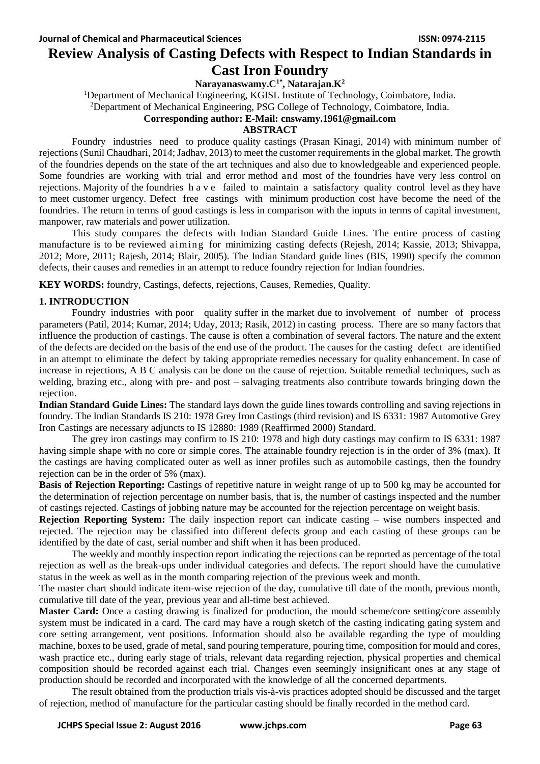# **Review Analysis of Casting Defects with Respect to Indian Standards in Cast Iron Foundry**

**Narayanaswamy.C1\* , Natarajan.K<sup>2</sup>**

<sup>1</sup>Department of Mechanical Engineering, KGISL Institute of Technology, Coimbatore, India. <sup>2</sup>Department of Mechanical Engineering, PSG College of Technology, Coimbatore, India.

# **Corresponding author: E-Mail: cnswamy.1961@gmail.com**

#### **ABSTRACT**

Foundry industries need to produce quality castings (Prasan Kinagi, 2014) with minimum number of rejections(Sunil Chaudhari, 2014; Jadhav, 2013) to meet the customer requirements in the global market. The growth of the foundries depends on the state of the art techniques and also due to knowledgeable and experienced people. Some foundries are working with trial and error method and most of the foundries have very less control on rejections. Majority of the foundries h a v e failed to maintain a satisfactory quality control level as they have to meet customer urgency. Defect free castings with minimum production cost have become the need of the foundries. The return in terms of good castings is less in comparison with the inputs in terms of capital investment, manpower, raw materials and power utilization.

This study compares the defects with Indian Standard Guide Lines. The entire process of casting manufacture is to be reviewed aiming for minimizing casting defects (Rejesh, 2014; Kassie, 2013; Shivappa, 2012; More, 2011; Rajesh, 2014; Blair, 2005). The Indian Standard guide lines (BIS, 1990) specify the common defects, their causes and remedies in an attempt to reduce foundry rejection for Indian foundries.

**KEY WORDS:** foundry, Castings, defects, rejections, Causes, Remedies, Quality.

# **1. INTRODUCTION**

Foundry industries with poor quality suffer in the market due to involvement of number of process parameters (Patil, 2014; Kumar, 2014; Uday, 2013; Rasik, 2012) in casting process. There are so many factors that influence the production of castings. The cause is often a combination of several factors. The nature and the extent of the defects are decided on the basis of the end use of the product. The causes for the casting defect are identified in an attempt to eliminate the defect by taking appropriate remedies necessary for quality enhancement. In case of increase in rejections, A B C analysis can be done on the cause of rejection. Suitable remedial techniques, such as welding, brazing etc., along with pre- and post – salvaging treatments also contribute towards bringing down the rejection.

**Indian Standard Guide Lines:** The standard lays down the guide lines towards controlling and saving rejections in foundry. The Indian Standards IS 210: 1978 Grey Iron Castings (third revision) and IS 6331: 1987 Automotive Grey Iron Castings are necessary adjuncts to IS 12880: 1989 (Reaffirmed 2000) Standard.

The grey iron castings may confirm to IS 210: 1978 and high duty castings may confirm to IS 6331: 1987 having simple shape with no core or simple cores. The attainable foundry rejection is in the order of 3% (max). If the castings are having complicated outer as well as inner profiles such as automobile castings, then the foundry rejection can be in the order of 5% (max).

**Basis of Rejection Reporting:** Castings of repetitive nature in weight range of up to 500 kg may be accounted for the determination of rejection percentage on number basis, that is, the number of castings inspected and the number of castings rejected. Castings of jobbing nature may be accounted for the rejection percentage on weight basis.

**Rejection Reporting System:** The daily inspection report can indicate casting – wise numbers inspected and rejected. The rejection may be classified into different defects group and each casting of these groups can be identified by the date of cast, serial number and shift when it has been produced.

The weekly and monthly inspection report indicating the rejections can be reported as percentage of the total rejection as well as the break-ups under individual categories and defects. The report should have the cumulative status in the week as well as in the month comparing rejection of the previous week and month.

The master chart should indicate item-wise rejection of the day, cumulative till date of the month, previous month, cumulative till date of the year, previous year and all-time best achieved.

**Master Card:** Once a casting drawing is finalized for production, the mould scheme/core setting/core assembly system must be indicated in a card. The card may have a rough sketch of the casting indicating gating system and core setting arrangement, vent positions. Information should also be available regarding the type of moulding machine, boxes to be used, grade of metal, sand pouring temperature, pouring time, composition for mould and cores, wash practice etc., during early stage of trials, relevant data regarding rejection, physical properties and chemical composition should be recorded against each trial. Changes even seemingly insignificant ones at any stage of production should be recorded and incorporated with the knowledge of all the concerned departments.

The result obtained from the production trials vis-à-vis practices adopted should be discussed and the target of rejection, method of manufacture for the particular casting should be finally recorded in the method card.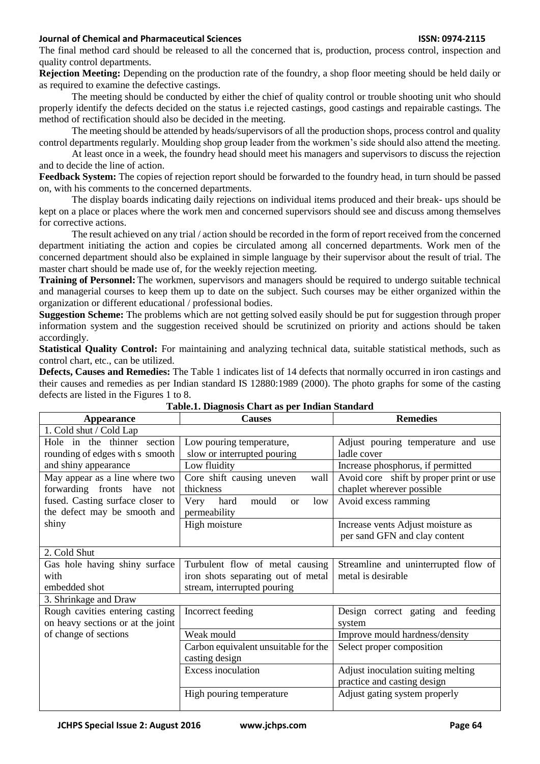### **Journal of Chemical and Pharmaceutical Sciences ISSN: 0974-2115**

The final method card should be released to all the concerned that is, production, process control, inspection and quality control departments.

**Rejection Meeting:** Depending on the production rate of the foundry, a shop floor meeting should be held daily or as required to examine the defective castings.

The meeting should be conducted by either the chief of quality control or trouble shooting unit who should properly identify the defects decided on the status i.e rejected castings, good castings and repairable castings. The method of rectification should also be decided in the meeting.

The meeting should be attended by heads/supervisors of all the production shops, process control and quality control departments regularly. Moulding shop group leader from the workmen's side should also attend the meeting.

At least once in a week, the foundry head should meet his managers and supervisors to discuss the rejection and to decide the line of action.

**Feedback System:** The copies of rejection report should be forwarded to the foundry head, in turn should be passed on, with his comments to the concerned departments.

The display boards indicating daily rejections on individual items produced and their break- ups should be kept on a place or places where the work men and concerned supervisors should see and discuss among themselves for corrective actions.

The result achieved on any trial / action should be recorded in the form of report received from the concerned department initiating the action and copies be circulated among all concerned departments. Work men of the concerned department should also be explained in simple language by their supervisor about the result of trial. The master chart should be made use of, for the weekly rejection meeting.

**Training of Personnel:**The workmen, supervisors and managers should be required to undergo suitable technical and managerial courses to keep them up to date on the subject. Such courses may be either organized within the organization or different educational / professional bodies.

**Suggestion Scheme:** The problems which are not getting solved easily should be put for suggestion through proper information system and the suggestion received should be scrutinized on priority and actions should be taken accordingly.

**Statistical Quality Control:** For maintaining and analyzing technical data, suitable statistical methods, such as control chart, etc., can be utilized.

**Defects, Causes and Remedies:** The Table 1 indicates list of 14 defects that normally occurred in iron castings and their causes and remedies as per Indian standard IS 12880:1989 (2000). The photo graphs for some of the casting defects are listed in the Figures 1 to 8.

| <b>Appearance</b>                 | <b>Causes</b>                             | <b>Remedies</b>                         |
|-----------------------------------|-------------------------------------------|-----------------------------------------|
| 1. Cold shut / Cold Lap           |                                           |                                         |
| Hole in the thinner section       | Low pouring temperature,                  | Adjust pouring temperature and use      |
| rounding of edges with s smooth   | slow or interrupted pouring               | ladle cover                             |
| and shiny appearance              | Low fluidity                              | Increase phosphorus, if permitted       |
| May appear as a line where two    | Core shift causing uneven<br>wall         | Avoid core shift by proper print or use |
| forwarding fronts have<br>not     | thickness                                 | chaplet wherever possible               |
| fused. Casting surface closer to  | hard<br>mould<br>Very<br>low<br><b>or</b> | Avoid excess ramming                    |
| the defect may be smooth and      | permeability                              |                                         |
| shiny                             | High moisture                             | Increase vents Adjust moisture as       |
|                                   |                                           | per sand GFN and clay content           |
| 2. Cold Shut                      |                                           |                                         |
| Gas hole having shiny surface     | Turbulent flow of metal causing           | Streamline and uninterrupted flow of    |
| with                              | iron shots separating out of metal        | metal is desirable                      |
| embedded shot                     | stream, interrupted pouring               |                                         |
| 3. Shrinkage and Draw             |                                           |                                         |
| Rough cavities entering casting   | Incorrect feeding                         | Design correct gating and feeding       |
| on heavy sections or at the joint |                                           | system                                  |
| of change of sections             | Weak mould                                | Improve mould hardness/density          |
|                                   | Carbon equivalent unsuitable for the      | Select proper composition               |
|                                   | casting design                            |                                         |
|                                   | <b>Excess inoculation</b>                 | Adjust inoculation suiting melting      |
|                                   |                                           | practice and casting design             |
|                                   | High pouring temperature                  | Adjust gating system properly           |
|                                   |                                           |                                         |

**Table.1. Diagnosis Chart as per Indian Standard**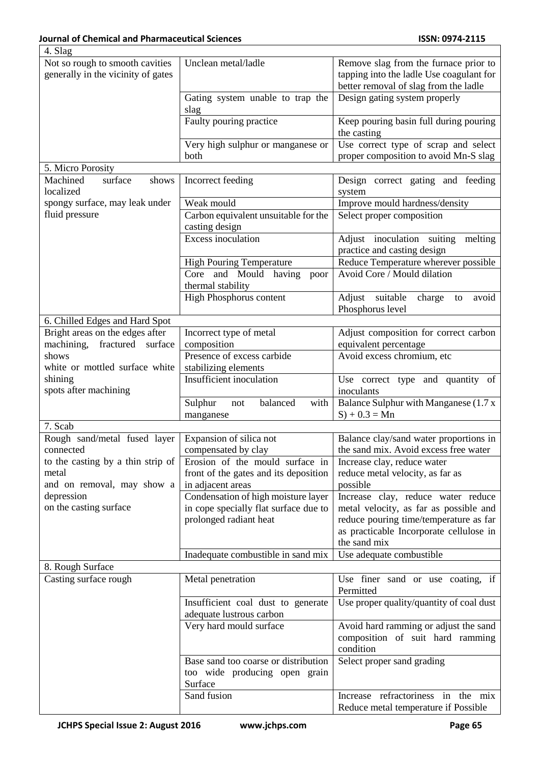٦

| 4. Slag                            |                                       |                                          |
|------------------------------------|---------------------------------------|------------------------------------------|
| Not so rough to smooth cavities    | Unclean metal/ladle                   | Remove slag from the furnace prior to    |
| generally in the vicinity of gates |                                       | tapping into the ladle Use coagulant for |
|                                    |                                       | better removal of slag from the ladle    |
|                                    | Gating system unable to trap the      | Design gating system properly            |
|                                    | slag                                  |                                          |
|                                    | Faulty pouring practice               | Keep pouring basin full during pouring   |
|                                    |                                       | the casting                              |
|                                    | Very high sulphur or manganese or     | Use correct type of scrap and select     |
|                                    | both                                  | proper composition to avoid Mn-S slag    |
| 5. Micro Porosity                  |                                       |                                          |
| Machined<br>surface<br>shows       | Incorrect feeding                     | Design correct gating and feeding        |
| localized                          |                                       | system                                   |
| spongy surface, may leak under     | Weak mould                            |                                          |
| fluid pressure                     |                                       | Improve mould hardness/density           |
|                                    | Carbon equivalent unsuitable for the  | Select proper composition                |
|                                    | casting design                        |                                          |
|                                    | <b>Excess inoculation</b>             | Adjust inoculation suiting<br>melting    |
|                                    |                                       | practice and casting design              |
|                                    | <b>High Pouring Temperature</b>       | Reduce Temperature wherever possible     |
|                                    | Core and Mould having poor            | Avoid Core / Mould dilation              |
|                                    | thermal stability                     |                                          |
|                                    | High Phosphorus content               | Adjust suitable<br>charge to<br>avoid    |
|                                    |                                       | Phosphorus level                         |
| 6. Chilled Edges and Hard Spot     |                                       |                                          |
| Bright areas on the edges after    | Incorrect type of metal               | Adjust composition for correct carbon    |
| fractured surface<br>machining,    | composition                           | equivalent percentage                    |
| shows                              | Presence of excess carbide            | Avoid excess chromium, etc               |
| white or mottled surface white     | stabilizing elements                  |                                          |
| shining                            | Insufficient inoculation              | Use correct type and quantity of         |
| spots after machining              |                                       | inoculants                               |
|                                    | balanced<br>with<br>Sulphur<br>not    | Balance Sulphur with Manganese (1.7 x    |
|                                    | manganese                             | $S$ ) + 0.3 = Mn                         |
| 7. Scab                            |                                       |                                          |
| Rough sand/metal fused layer       | Expansion of silica not               | Balance clay/sand water proportions in   |
| connected                          | compensated by clay                   | the sand mix. Avoid excess free water    |
| to the casting by a thin strip of  | Erosion of the mould surface in       |                                          |
| metal                              |                                       | Increase clay, reduce water              |
|                                    | front of the gates and its deposition | reduce metal velocity, as far as         |
| and on removal, may show a         | in adjacent areas                     | possible                                 |
| depression                         | Condensation of high moisture layer   | Increase clay, reduce water reduce       |
| on the casting surface             | in cope specially flat surface due to | metal velocity, as far as possible and   |
|                                    | prolonged radiant heat                | reduce pouring time/temperature as far   |
|                                    |                                       | as practicable Incorporate cellulose in  |
|                                    |                                       | the sand mix                             |
|                                    | Inadequate combustible in sand mix    | Use adequate combustible                 |
| 8. Rough Surface                   |                                       |                                          |
| Casting surface rough              | Metal penetration                     | Use finer sand or use coating, if        |
|                                    |                                       | Permitted                                |
|                                    | Insufficient coal dust to generate    | Use proper quality/quantity of coal dust |
|                                    | adequate lustrous carbon              |                                          |
|                                    | Very hard mould surface               | Avoid hard ramming or adjust the sand    |
|                                    |                                       | composition of suit hard ramming         |
|                                    |                                       | condition                                |
|                                    | Base sand too coarse or distribution  | Select proper sand grading               |
|                                    | too wide producing open grain         |                                          |
|                                    | Surface                               |                                          |
|                                    | Sand fusion                           | Increase refractoriness in the mix       |
|                                    |                                       |                                          |
|                                    |                                       | Reduce metal temperature if Possible     |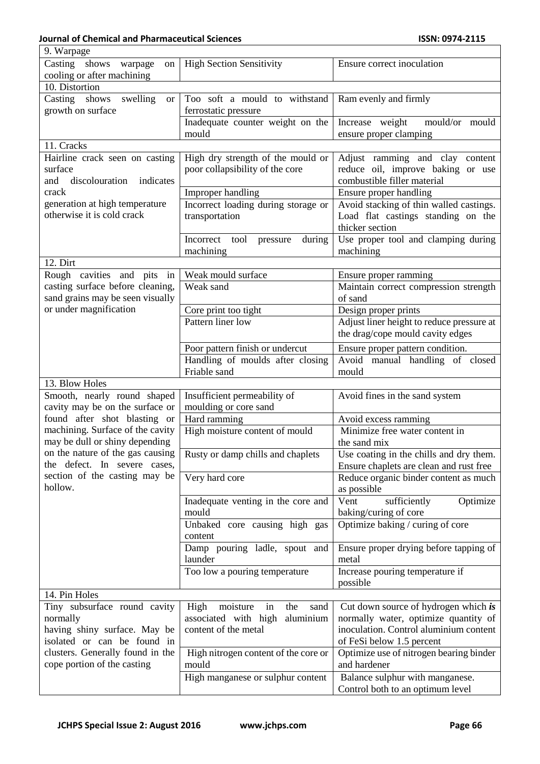| 9. Warpage                               |                                                        |                                                 |
|------------------------------------------|--------------------------------------------------------|-------------------------------------------------|
| Casting shows<br>warpage<br>on           | <b>High Section Sensitivity</b>                        | Ensure correct inoculation                      |
| cooling or after machining               |                                                        |                                                 |
| 10. Distortion                           |                                                        |                                                 |
| Casting shows swelling<br><b>or</b>      | Too soft a mould to withstand                          | Ram evenly and firmly                           |
| growth on surface                        | ferrostatic pressure                                   |                                                 |
|                                          | Inadequate counter weight on the                       | Increase weight<br>mould/or mould               |
|                                          | mould                                                  | ensure proper clamping                          |
| 11. Cracks                               |                                                        |                                                 |
| Hairline crack seen on casting           | High dry strength of the mould or                      | Adjust ramming and clay content                 |
| surface                                  | poor collapsibility of the core                        | reduce oil, improve baking or use               |
| discolouration<br>indicates<br>and       |                                                        | combustible filler material                     |
| crack                                    | Improper handling                                      | Ensure proper handling                          |
| generation at high temperature           | Incorrect loading during storage or                    | Avoid stacking of thin walled castings.         |
| otherwise it is cold crack               | transportation                                         | Load flat castings standing on the              |
|                                          |                                                        | thicker section                                 |
|                                          | Incorrect<br>tool<br>during<br>pressure                | Use proper tool and clamping during             |
|                                          | machining                                              | machining                                       |
| 12. Dirt                                 |                                                        |                                                 |
| Rough cavities and pits<br>in            | Weak mould surface                                     | Ensure proper ramming                           |
| casting surface before cleaning,         | Weak sand                                              | Maintain correct compression strength           |
| sand grains may be seen visually         |                                                        | of sand                                         |
| or under magnification                   | Core print too tight                                   | Design proper prints                            |
|                                          | Pattern liner low                                      | Adjust liner height to reduce pressure at       |
|                                          |                                                        | the drag/cope mould cavity edges                |
|                                          | Poor pattern finish or undercut                        | Ensure proper pattern condition.                |
|                                          | Handling of moulds after closing                       | Avoid manual handling of closed                 |
|                                          | Friable sand                                           | mould                                           |
| 13. Blow Holes                           |                                                        |                                                 |
|                                          |                                                        |                                                 |
|                                          |                                                        |                                                 |
| Smooth, nearly round shaped              | Insufficient permeability of                           | Avoid fines in the sand system                  |
| cavity may be on the surface or          | moulding or core sand                                  |                                                 |
| found after shot blasting or             | Hard ramming                                           | Avoid excess ramming                            |
| machining. Surface of the cavity         | High moisture content of mould                         | Minimize free water content in                  |
| may be dull or shiny depending           |                                                        | the sand mix                                    |
| on the nature of the gas causing         | Rusty or damp chills and chaplets                      | Use coating in the chills and dry them.         |
| the defect. In severe cases,             |                                                        | Ensure chaplets are clean and rust free         |
| section of the casting may be<br>hollow. | Very hard core                                         | Reduce organic binder content as much           |
|                                          |                                                        | as possible                                     |
|                                          | Inadequate venting in the core and<br>mould            | Vent<br>sufficiently<br>Optimize                |
|                                          |                                                        | baking/curing of core                           |
|                                          | Unbaked core causing high gas<br>content               | Optimize baking / curing of core                |
|                                          |                                                        |                                                 |
|                                          | Damp pouring ladle, spout and<br>launder               | Ensure proper drying before tapping of<br>metal |
|                                          |                                                        |                                                 |
|                                          | Too low a pouring temperature                          | Increase pouring temperature if<br>possible     |
| 14. Pin Holes                            |                                                        |                                                 |
| Tiny subsurface round cavity             | moisture<br>in<br>High<br>the<br>sand                  | Cut down source of hydrogen which is            |
| normally                                 |                                                        | normally water, optimize quantity of            |
| having shiny surface. May be             | associated with high aluminium<br>content of the metal | inoculation. Control aluminium content          |
| isolated or can be found in              |                                                        | of FeSi below 1.5 percent                       |
| clusters. Generally found in the         | High nitrogen content of the core or                   | Optimize use of nitrogen bearing binder         |
| cope portion of the casting              | mould                                                  | and hardener                                    |
|                                          | High manganese or sulphur content                      | Balance sulphur with manganese.                 |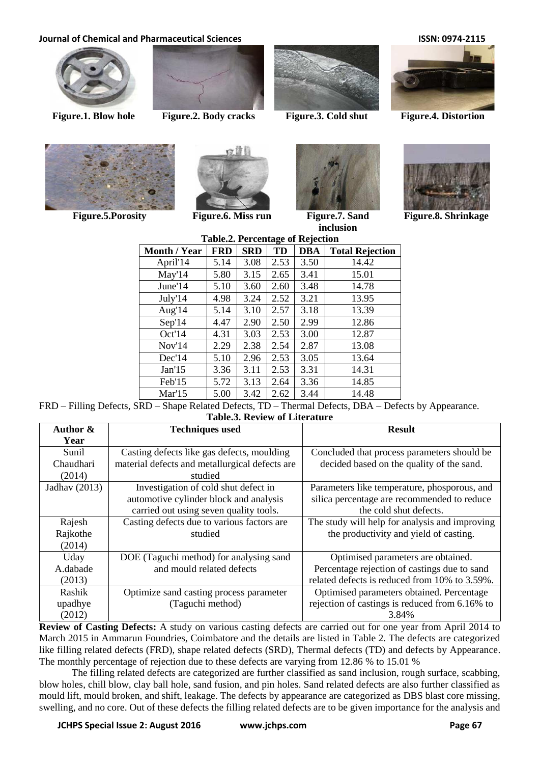## **Journal of Chemical and Pharmaceutical Sciences ISSN: 0974-2115**





**Figure.1. Blow hole Figure.2. Body cracks Figure.3. Cold shut Figure.4. Distortion**









**Figure.5.Porosity Figure.6. Miss run Figure.7. Sand** 



**inclusion**



**Figure.8. Shrinkage**

| <b>Table.2. Percentage of Rejection</b> |            |            |      |            |                        |
|-----------------------------------------|------------|------------|------|------------|------------------------|
| <b>Month / Year</b>                     | <b>FRD</b> | <b>SRD</b> | TD   | <b>DBA</b> | <b>Total Rejection</b> |
| April'14                                | 5.14       | 3.08       | 2.53 | 3.50       | 14.42                  |
| May'14                                  | 5.80       | 3.15       | 2.65 | 3.41       | 15.01                  |
| June'14                                 | 5.10       | 3.60       | 2.60 | 3.48       | 14.78                  |
| July'14                                 | 4.98       | 3.24       | 2.52 | 3.21       | 13.95                  |
| Aug'14                                  | 5.14       | 3.10       | 2.57 | 3.18       | 13.39                  |
| Sep'14                                  | 4.47       | 2.90       | 2.50 | 2.99       | 12.86                  |
| Oct'14                                  | 4.31       | 3.03       | 2.53 | 3.00       | 12.87                  |
| Nov <sub>14</sub>                       | 2.29       | 2.38       | 2.54 | 2.87       | 13.08                  |
| Dec <sup>14</sup>                       | 5.10       | 2.96       | 2.53 | 3.05       | 13.64                  |
| Jan'15                                  | 3.36       | 3.11       | 2.53 | 3.31       | 14.31                  |
| Feb'15                                  | 5.72       | 3.13       | 2.64 | 3.36       | 14.85                  |
| Mar'15                                  | 5.00       | 3.42       | 2.62 | 3.44       | 14.48                  |

FRD – Filling Defects, SRD – Shape Related Defects, TD – Thermal Defects, DBA – Defects by Appearance. **Table.3. Review of Literature**

| Author &        | <b>Techniques used</b>                         | <b>Result</b>                                  |
|-----------------|------------------------------------------------|------------------------------------------------|
| Year            |                                                |                                                |
| Sunil           | Casting defects like gas defects, moulding     | Concluded that process parameters should be    |
| Chaudhari       | material defects and metallurgical defects are | decided based on the quality of the sand.      |
| (2014)          | studied                                        |                                                |
| Jadhav $(2013)$ | Investigation of cold shut defect in           | Parameters like temperature, phosporous, and   |
|                 | automotive cylinder block and analysis         | silica percentage are recommended to reduce    |
|                 | carried out using seven quality tools.         | the cold shut defects.                         |
| Rajesh          | Casting defects due to various factors are     | The study will help for analysis and improving |
| Rajkothe        | studied                                        | the productivity and yield of casting.         |
| (2014)          |                                                |                                                |
| Uday            | DOE (Taguchi method) for analysing sand        | Optimised parameters are obtained.             |
| A.dabade        | and mould related defects                      | Percentage rejection of castings due to sand   |
| (2013)          |                                                | related defects is reduced from 10% to 3.59%.  |
| Rashik          | Optimize sand casting process parameter        | Optimised parameters obtained. Percentage      |
| upadhye         | (Taguchi method)                               | rejection of castings is reduced from 6.16% to |
| (2012)          |                                                | 3.84%                                          |

**Review of Casting Defects:** A study on various casting defects are carried out for one year from April 2014 to March 2015 in Ammarun Foundries, Coimbatore and the details are listed in Table 2. The defects are categorized like filling related defects (FRD), shape related defects (SRD), Thermal defects (TD) and defects by Appearance. The monthly percentage of rejection due to these defects are varying from 12.86 % to 15.01 %

The filling related defects are categorized are further classified as sand inclusion, rough surface, scabbing, blow holes, chill blow, clay ball hole, sand fusion, and pin holes. Sand related defects are also further classified as mould lift, mould broken, and shift, leakage. The defects by appearance are categorized as DBS blast core missing, swelling, and no core. Out of these defects the filling related defects are to be given importance for the analysis and